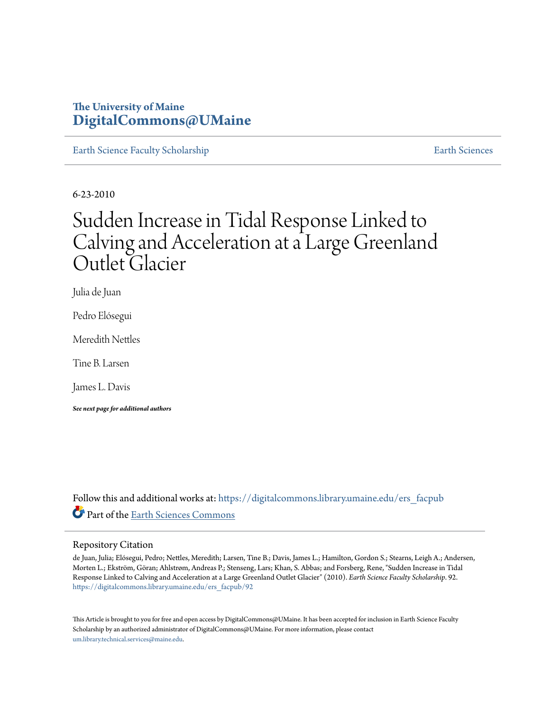# **The University of Maine [DigitalCommons@UMaine](https://digitalcommons.library.umaine.edu?utm_source=digitalcommons.library.umaine.edu%2Fers_facpub%2F92&utm_medium=PDF&utm_campaign=PDFCoverPages)**

[Earth Science Faculty Scholarship](https://digitalcommons.library.umaine.edu/ers_facpub?utm_source=digitalcommons.library.umaine.edu%2Fers_facpub%2F92&utm_medium=PDF&utm_campaign=PDFCoverPages) **[Earth Sciences](https://digitalcommons.library.umaine.edu/ers?utm_source=digitalcommons.library.umaine.edu%2Fers_facpub%2F92&utm_medium=PDF&utm_campaign=PDFCoverPages)** 

6-23-2010

# Sudden Increase in Tidal Response Linked to Calving and Acceleration at a Large Greenland Outlet Glacier

Julia de Juan

Pedro Elósegui

Meredith Nettles

Tine B. Larsen

James L. Davis

*See next page for additional authors*

Follow this and additional works at: [https://digitalcommons.library.umaine.edu/ers\\_facpub](https://digitalcommons.library.umaine.edu/ers_facpub?utm_source=digitalcommons.library.umaine.edu%2Fers_facpub%2F92&utm_medium=PDF&utm_campaign=PDFCoverPages) Part of the [Earth Sciences Commons](http://network.bepress.com/hgg/discipline/153?utm_source=digitalcommons.library.umaine.edu%2Fers_facpub%2F92&utm_medium=PDF&utm_campaign=PDFCoverPages)

## Repository Citation

de Juan, Julia; Elósegui, Pedro; Nettles, Meredith; Larsen, Tine B.; Davis, James L.; Hamilton, Gordon S.; Stearns, Leigh A.; Andersen, Morten L.; Ekström, Göran; Ahlstrøm, Andreas P.; Stenseng, Lars; Khan, S. Abbas; and Forsberg, Rene, "Sudden Increase in Tidal Response Linked to Calving and Acceleration at a Large Greenland Outlet Glacier" (2010). *Earth Science Faculty Scholarship*. 92. [https://digitalcommons.library.umaine.edu/ers\\_facpub/92](https://digitalcommons.library.umaine.edu/ers_facpub/92?utm_source=digitalcommons.library.umaine.edu%2Fers_facpub%2F92&utm_medium=PDF&utm_campaign=PDFCoverPages)

This Article is brought to you for free and open access by DigitalCommons@UMaine. It has been accepted for inclusion in Earth Science Faculty Scholarship by an authorized administrator of DigitalCommons@UMaine. For more information, please contact [um.library.technical.services@maine.edu](mailto:um.library.technical.services@maine.edu).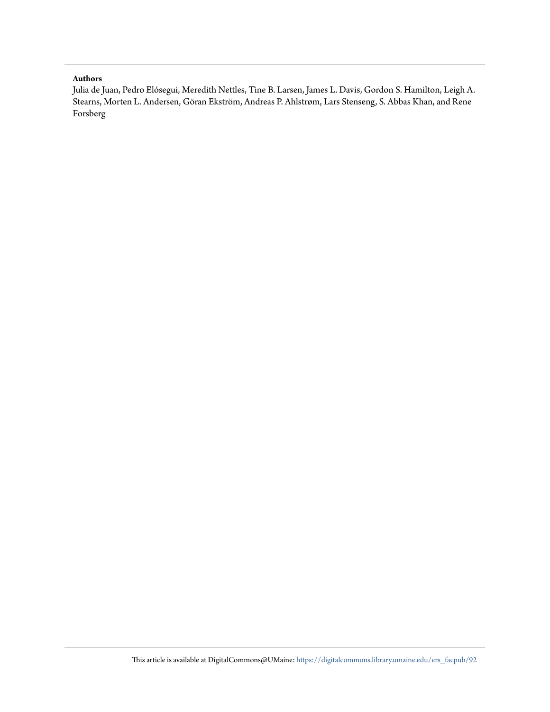## **Authors**

Julia de Juan, Pedro Elósegui, Meredith Nettles, Tine B. Larsen, James L. Davis, Gordon S. Hamilton, Leigh A. Stearns, Morten L. Andersen, Göran Ekström, Andreas P. Ahlstrøm, Lars Stenseng, S. Abbas Khan, and Rene Forsberg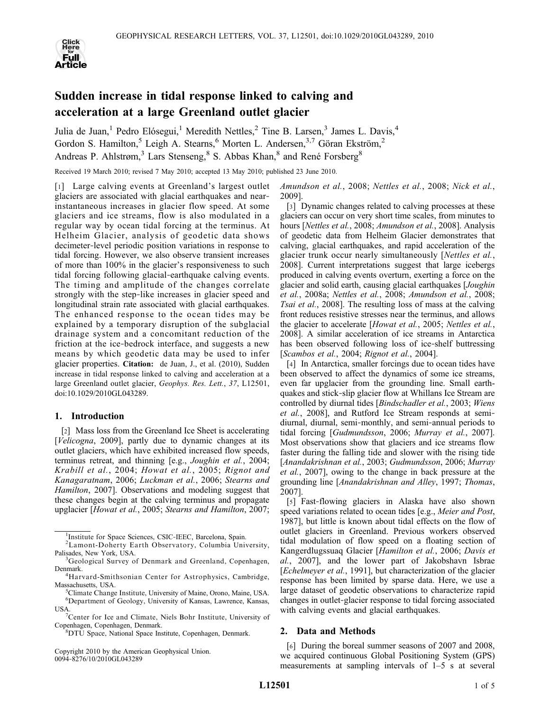

# Sudden increase in tidal response linked to calving and acceleration at a large Greenland outlet glacier

Julia de Juan,<sup>1</sup> Pedro Elósegui,<sup>1</sup> Meredith Nettles,<sup>2</sup> Tine B. Larsen,<sup>3</sup> James L. Davis,<sup>4</sup> Gordon S. Hamilton,<sup>5</sup> Leigh A. Stearns,<sup>6</sup> Morten L. Andersen,<sup>3,7</sup> Göran Ekström,<sup>2</sup> Andreas P. Ahlstrøm,<sup>3</sup> Lars Stenseng,<sup>8</sup> S. Abbas Khan,<sup>8</sup> and René Forsberg<sup>8</sup>

Received 19 March 2010; revised 7 May 2010; accepted 13 May 2010; published 23 June 2010.

[1] Large calving events at Greenland's largest outlet glaciers are associated with glacial earthquakes and near‐ instantaneous increases in glacier flow speed. At some glaciers and ice streams, flow is also modulated in a regular way by ocean tidal forcing at the terminus. At Helheim Glacier, analysis of geodetic data shows decimeter‐level periodic position variations in response to tidal forcing. However, we also observe transient increases of more than 100% in the glacier's responsiveness to such tidal forcing following glacial‐earthquake calving events. The timing and amplitude of the changes correlate strongly with the step‐like increases in glacier speed and longitudinal strain rate associated with glacial earthquakes. The enhanced response to the ocean tides may be explained by a temporary disruption of the subglacial drainage system and a concomitant reduction of the friction at the ice-bedrock interface, and suggests a new means by which geodetic data may be used to infer glacier properties. Citation: de Juan, J., et al. (2010), Sudden increase in tidal response linked to calving and acceleration at a large Greenland outlet glacier, Geophys. Res. Lett., 37, L12501, doi:10.1029/2010GL043289.

## 1. Introduction

[2] Mass loss from the Greenland Ice Sheet is accelerating [Velicogna, 2009], partly due to dynamic changes at its outlet glaciers, which have exhibited increased flow speeds, terminus retreat, and thinning [e.g., Joughin et al., 2004; Krabill et al., 2004; Howat et al., 2005; Rignot and Kanagaratnam, 2006; Luckman et al., 2006; Stearns and Hamilton, 2007]. Observations and modeling suggest that these changes begin at the calving terminus and propagate upglacier [Howat et al., 2005; Stearns and Hamilton, 2007;

Copyright 2010 by the American Geophysical Union. 0094‐8276/10/2010GL043289

Amundson et al., 2008; Nettles et al., 2008; Nick et al., 2009].

[3] Dynamic changes related to calving processes at these glaciers can occur on very short time scales, from minutes to hours [Nettles et al., 2008; Amundson et al., 2008]. Analysis of geodetic data from Helheim Glacier demonstrates that calving, glacial earthquakes, and rapid acceleration of the glacier trunk occur nearly simultaneously [Nettles et al., 2008]. Current interpretations suggest that large icebergs produced in calving events overturn, exerting a force on the glacier and solid earth, causing glacial earthquakes [Joughin et al., 2008a; Nettles et al., 2008; Amundson et al., 2008; Tsai et al., 2008]. The resulting loss of mass at the calving front reduces resistive stresses near the terminus, and allows the glacier to accelerate [Howat et al., 2005; Nettles et al., 2008]. A similar acceleration of ice streams in Antarctica has been observed following loss of ice-shelf buttressing [Scambos et al., 2004; Rignot et al., 2004].

[4] In Antarctica, smaller forcings due to ocean tides have been observed to affect the dynamics of some ice streams, even far upglacier from the grounding line. Small earthquakes and stick‐slip glacier flow at Whillans Ice Stream are controlled by diurnal tides [Bindschadler et al., 2003; Wiens et al., 2008], and Rutford Ice Stream responds at semi‐ diurnal, diurnal, semi‐monthly, and semi‐annual periods to tidal forcing [Gudmundsson, 2006; Murray et al., 2007]. Most observations show that glaciers and ice streams flow faster during the falling tide and slower with the rising tide [Anandakrishnan et al., 2003; Gudmundsson, 2006; Murray et al., 2007], owing to the change in back pressure at the grounding line [Anandakrishnan and Alley, 1997; Thomas, 2007].

[5] Fast-flowing glaciers in Alaska have also shown speed variations related to ocean tides [e.g., *Meier and Post*, 1987], but little is known about tidal effects on the flow of outlet glaciers in Greenland. Previous workers observed tidal modulation of flow speed on a floating section of Kangerdlugssuaq Glacier [Hamilton et al., 2006; Davis et al., 2007], and the lower part of Jakobshavn Isbrae [*Echelmeyer et al.*, 1991], but characterization of the glacier response has been limited by sparse data. Here, we use a large dataset of geodetic observations to characterize rapid changes in outlet‐glacier response to tidal forcing associated with calving events and glacial earthquakes.

## 2. Data and Methods

[6] During the boreal summer seasons of 2007 and 2008, we acquired continuous Global Positioning System (GPS) measurements at sampling intervals of 1–5 s at several

<sup>&</sup>lt;sup>1</sup>Institute for Space Sciences, CSIC-IEEC, Barcelona, Spain.

Lamont-Doherty Earth Observatory, Columbia University,

Palisades, New York, USA. <sup>3</sup> <sup>3</sup>Geological Survey of Denmark and Greenland, Copenhagen, Denmark.

<sup>&</sup>lt;sup>4</sup>Harvard-Smithsonian Center for Astrophysics, Cambridge, Massachusetts, USA. <sup>5</sup>

Climate Change Institute, University of Maine, Orono, Maine, USA. Department of Geology, University of Kansas, Lawrence, Kansas, USA.

 $7$ Center for Ice and Climate, Niels Bohr Institute, University of Copenhagen, Copenhagen, Denmark.

<sup>&</sup>lt;sup>8</sup>DTU Space, National Space Institute, Copenhagen, Denmark.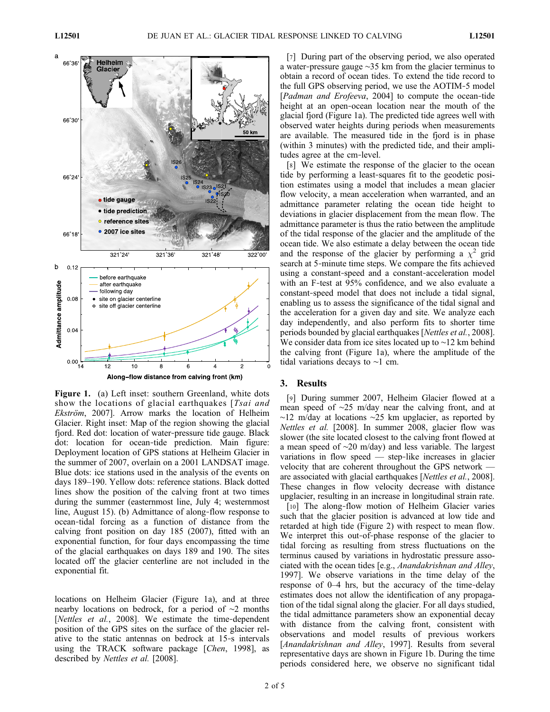

Figure 1. (a) Left inset: southern Greenland, white dots show the locations of glacial earthquakes [*Tsai and* Ekström, 2007]. Arrow marks the location of Helheim Glacier. Right inset: Map of the region showing the glacial fjord. Red dot: location of water‐pressure tide gauge. Black dot: location for ocean‐tide prediction. Main figure: Deployment location of GPS stations at Helheim Glacier in the summer of 2007, overlain on a 2001 LANDSAT image. Blue dots: ice stations used in the analysis of the events on days 189–190. Yellow dots: reference stations. Black dotted lines show the position of the calving front at two times during the summer (easternmost line, July 4; westernmost line, August 15). (b) Admittance of along‐flow response to ocean‐tidal forcing as a function of distance from the calving front position on day 185 (2007), fitted with an exponential function, for four days encompassing the time of the glacial earthquakes on days 189 and 190. The sites located off the glacier centerline are not included in the exponential fit.

locations on Helheim Glacier (Figure 1a), and at three nearby locations on bedrock, for a period of ∼2 months [Nettles et al., 2008]. We estimate the time-dependent position of the GPS sites on the surface of the glacier relative to the static antennas on bedrock at 15‐s intervals using the TRACK software package [Chen, 1998], as described by Nettles et al. [2008].

[7] During part of the observing period, we also operated a water‐pressure gauge ∼35 km from the glacier terminus to obtain a record of ocean tides. To extend the tide record to the full GPS observing period, we use the AOTIM‐5 model [Padman and Erofeeva, 2004] to compute the ocean-tide height at an open‐ocean location near the mouth of the glacial fjord (Figure 1a). The predicted tide agrees well with observed water heights during periods when measurements are available. The measured tide in the fjord is in phase (within 3 minutes) with the predicted tide, and their amplitudes agree at the cm‐level.

[8] We estimate the response of the glacier to the ocean tide by performing a least‐squares fit to the geodetic position estimates using a model that includes a mean glacier flow velocity, a mean acceleration when warranted, and an admittance parameter relating the ocean tide height to deviations in glacier displacement from the mean flow. The admittance parameter is thus the ratio between the amplitude of the tidal response of the glacier and the amplitude of the ocean tide. We also estimate a delay between the ocean tide and the response of the glacier by performing a  $\chi^2$  grid search at 5‐minute time steps. We compare the fits achieved using a constant‐speed and a constant‐acceleration model with an F-test at 95% confidence, and we also evaluate a constant‐speed model that does not include a tidal signal, enabling us to assess the significance of the tidal signal and the acceleration for a given day and site. We analyze each day independently, and also perform fits to shorter time periods bounded by glacial earthquakes [Nettles et al., 2008]. We consider data from ice sites located up to ∼12 km behind the calving front (Figure 1a), where the amplitude of the tidal variations decays to ∼1 cm.

#### 3. Results

[9] During summer 2007, Helheim Glacier flowed at a mean speed of ∼25 m/day near the calving front, and at  $\sim$ 12 m/day at locations  $\sim$ 25 km upglacier, as reported by Nettles et al. [2008]. In summer 2008, glacier flow was slower (the site located closest to the calving front flowed at a mean speed of ∼20 m/day) and less variable. The largest variations in flow speed — step‐like increases in glacier velocity that are coherent throughout the GPS network are associated with glacial earthquakes [Nettles et al., 2008]. These changes in flow velocity decrease with distance upglacier, resulting in an increase in longitudinal strain rate.

[10] The along-flow motion of Helheim Glacier varies such that the glacier position is advanced at low tide and retarded at high tide (Figure 2) with respect to mean flow. We interpret this out-of-phase response of the glacier to tidal forcing as resulting from stress fluctuations on the terminus caused by variations in hydrostatic pressure associated with the ocean tides [e.g., Anandakrishnan and Alley, 1997]. We observe variations in the time delay of the response of 0–4 hrs, but the accuracy of the time-delay estimates does not allow the identification of any propagation of the tidal signal along the glacier. For all days studied, the tidal admittance parameters show an exponential decay with distance from the calving front, consistent with observations and model results of previous workers [Anandakrishnan and Alley, 1997]. Results from several representative days are shown in Figure 1b. During the time periods considered here, we observe no significant tidal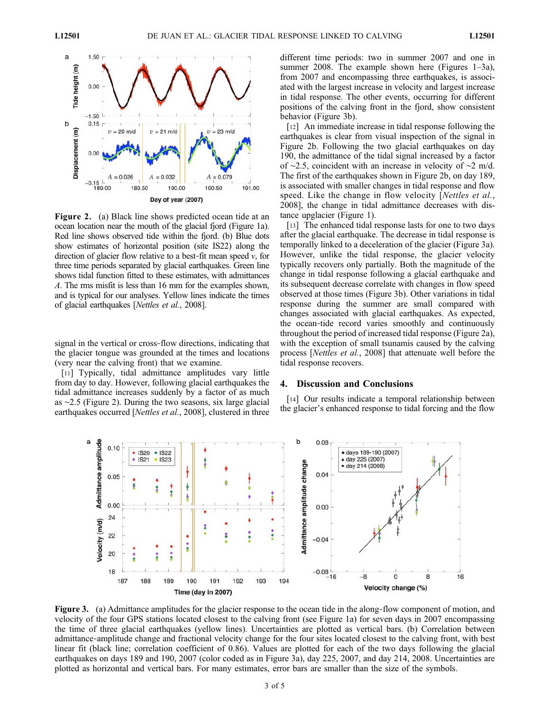

Figure 2. (a) Black line shows predicted ocean tide at an ocean location near the mouth of the glacial fjord (Figure 1a). Red line shows observed tide within the fjord. (b) Blue dots show estimates of horizontal position (site IS22) along the direction of glacier flow relative to a best-fit mean speed  $v$ , for three time periods separated by glacial earthquakes. Green line shows tidal function fitted to these estimates, with admittances A. The rms misfit is less than 16 mm for the examples shown, and is typical for our analyses. Yellow lines indicate the times of glacial earthquakes [Nettles et al., 2008].

signal in the vertical or cross‐flow directions, indicating that the glacier tongue was grounded at the times and locations (very near the calving front) that we examine.

[11] Typically, tidal admittance amplitudes vary little from day to day. However, following glacial earthquakes the tidal admittance increases suddenly by a factor of as much as ∼2.5 (Figure 2). During the two seasons, six large glacial earthquakes occurred [*Nettles et al.*, 2008], clustered in three

different time periods: two in summer 2007 and one in summer 2008. The example shown here (Figures 1-3a), from 2007 and encompassing three earthquakes, is associated with the largest increase in velocity and largest increase in tidal response. The other events, occurring for different positions of the calving front in the fjord, show consistent behavior (Figure 3b).

[12] An immediate increase in tidal response following the earthquakes is clear from visual inspection of the signal in Figure 2b. Following the two glacial earthquakes on day 190, the admittance of the tidal signal increased by a factor of ∼2.5, coincident with an increase in velocity of ∼2 m/d. The first of the earthquakes shown in Figure 2b, on day 189, is associated with smaller changes in tidal response and flow speed. Like the change in flow velocity [Nettles et al., 2008], the change in tidal admittance decreases with distance upglacier (Figure 1).

[13] The enhanced tidal response lasts for one to two days after the glacial earthquake. The decrease in tidal response is temporally linked to a deceleration of the glacier (Figure 3a). However, unlike the tidal response, the glacier velocity typically recovers only partially. Both the magnitude of the change in tidal response following a glacial earthquake and its subsequent decrease correlate with changes in flow speed observed at those times (Figure 3b). Other variations in tidal response during the summer are small compared with changes associated with glacial earthquakes. As expected, the ocean‐tide record varies smoothly and continuously throughout the period of increased tidal response (Figure 2a), with the exception of small tsunamis caused by the calving process [Nettles et al., 2008] that attenuate well before the tidal response recovers.

#### 4. Discussion and Conclusions

[14] Our results indicate a temporal relationship between the glacier's enhanced response to tidal forcing and the flow



Figure 3. (a) Admittance amplitudes for the glacier response to the ocean tide in the along–flow component of motion, and velocity of the four GPS stations located closest to the calving front (see Figure 1a) for seven days in 2007 encompassing the time of three glacial earthquakes (yellow lines). Uncertainties are plotted as vertical bars. (b) Correlation between admittance‐amplitude change and fractional velocity change for the four sites located closest to the calving front, with best linear fit (black line; correlation coefficient of 0.86). Values are plotted for each of the two days following the glacial earthquakes on days 189 and 190, 2007 (color coded as in Figure 3a), day 225, 2007, and day 214, 2008. Uncertainties are plotted as horizontal and vertical bars. For many estimates, error bars are smaller than the size of the symbols.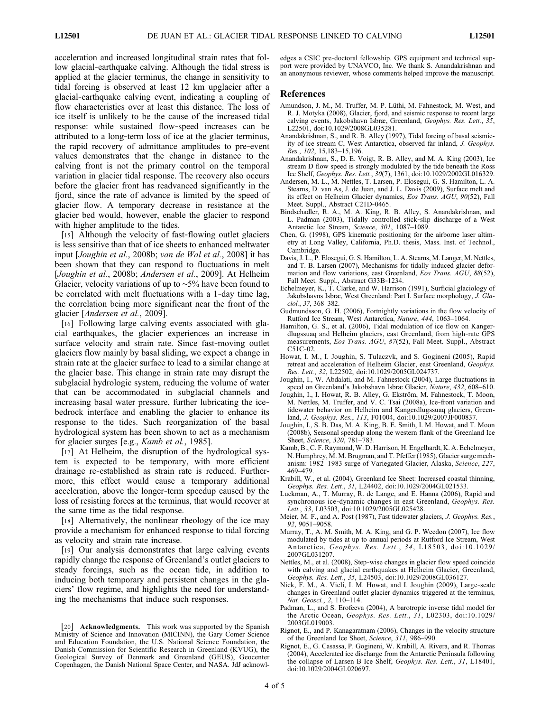acceleration and increased longitudinal strain rates that follow glacial‐earthquake calving. Although the tidal stress is applied at the glacier terminus, the change in sensitivity to tidal forcing is observed at least 12 km upglacier after a glacial‐earthquake calving event, indicating a coupling of flow characteristics over at least this distance. The loss of ice itself is unlikely to be the cause of the increased tidal response: while sustained flow‐speed increases can be attributed to a long‐term loss of ice at the glacier terminus, the rapid recovery of admittance amplitudes to pre‐event values demonstrates that the change in distance to the calving front is not the primary control on the temporal variation in glacier tidal response. The recovery also occurs before the glacier front has readvanced significantly in the fjord, since the rate of advance is limited by the speed of glacier flow. A temporary decrease in resistance at the glacier bed would, however, enable the glacier to respond with higher amplitude to the tides.

[15] Although the velocity of fast-flowing outlet glaciers is less sensitive than that of ice sheets to enhanced meltwater input [Joughin et al., 2008b; van de Wal et al., 2008] it has been shown that they can respond to fluctuations in melt [Joughin et al., 2008b; Andersen et al., 2009]. At Helheim Glacier, velocity variations of up to ∼5% have been found to be correlated with melt fluctuations with a 1‐day time lag, the correlation being more significant near the front of the glacier [Andersen et al., 2009].

[16] Following large calving events associated with glacial earthquakes, the glacier experiences an increase in surface velocity and strain rate. Since fast-moving outlet glaciers flow mainly by basal sliding, we expect a change in strain rate at the glacier surface to lead to a similar change at the glacier base. This change in strain rate may disrupt the subglacial hydrologic system, reducing the volume of water that can be accommodated in subglacial channels and increasing basal water pressure, further lubricating the icebedrock interface and enabling the glacier to enhance its response to the tides. Such reorganization of the basal hydrological system has been shown to act as a mechanism for glacier surges [e.g., Kamb et al., 1985].

[17] At Helheim, the disruption of the hydrological system is expected to be temporary, with more efficient drainage re‐established as strain rate is reduced. Furthermore, this effect would cause a temporary additional acceleration, above the longer‐term speedup caused by the loss of resisting forces at the terminus, that would recover at the same time as the tidal response.

[18] Alternatively, the nonlinear rheology of the ice may provide a mechanism for enhanced response to tidal forcing as velocity and strain rate increase.

[19] Our analysis demonstrates that large calving events rapidly change the response of Greenland's outlet glaciers to steady forcings, such as the ocean tide, in addition to inducing both temporary and persistent changes in the glaciers' flow regime, and highlights the need for understanding the mechanisms that induce such responses.

edges a CSIC pre‐doctoral fellowship. GPS equipment and technical support were provided by UNAVCO, Inc. We thank S. Anandakrishnan and an anonymous reviewer, whose comments helped improve the manuscript.

#### References

- Amundson, J. M., M. Truffer, M. P. Lüthi, M. Fahnestock, M. West, and R. J. Motyka (2008), Glacier, fjord, and seismic response to recent large calving events, Jakobshavn Isbræ, Greenland, Geophys. Res. Lett., 35, L22501, doi:10.1029/2008GL035281.
- Anandakrishnan, S., and R. B. Alley (1997), Tidal forcing of basal seismicity of ice stream C, West Antarctica, observed far inland, J. Geophys. Res., 102, 15,183–15,196.
- Anandakrishnan, S., D. E. Voigt, R. B. Alley, and M. A. King (2003), Ice stream D flow speed is strongly modulated by the tide beneath the Ross Ice Shelf, Geophys. Res. Lett., 30(7), 1361, doi:10.1029/2002GL016329.
- Andersen, M. L., M. Nettles, T. Larsen, P. Elosegui, G. S. Hamilton, L. A. Stearns, D. van As, J. de Juan, and J. L. Davis (2009), Surface melt and its effect on Helheim Glacier dynamics, Eos Trans. AGU, 90(52), Fall Meet. Suppl., Abstract C21D-0465.
- Bindschadler, R. A., M. A. King, R. B. Alley, S. Anandakrishnan, and L. Padman (2003), Tidally controlled stick‐slip discharge of a West Antarctic Ice Stream, Science, 301, 1087–1089.
- Chen, G. (1998), GPS kinematic positioning for the airborne laser altimetry at Long Valley, California, Ph.D. thesis, Mass. Inst. of Technol., Cambridge.
- Davis, J. L., P. Elosegui, G. S. Hamilton, L. A. Stearns, M. Langer, M. Nettles, and T. B. Larsen (2007), Mechanisms for tidally induced glacier deformation and flow variations, east Greenland, Eos Trans. AGU, 88(52), Fall Meet. Suppl., Abstract G33B‐1234.
- Echelmeyer, K., T. Clarke, and W. Harrison (1991), Surficial glaciology of Jakobshavns Isbræ, West Greenland: Part I. Surface morphology, J. Glaciol., 37, 368–382.
- Gudmundsson, G. H. (2006), Fortnightly variations in the flow velocity of Rutford Ice Stream, West Antarctica, Nature, 444, 1063–1064.
- Hamilton, G. S., et al. (2006), Tidal modulation of ice flow on Kangerdlugssuaq and Helheim glaciers, east Greenland, from high‐rate GPS measurements, Eos Trans. AGU, 87(52), Fall Meet. Suppl., Abstract C51C‐02.
- Howat, I. M., I. Joughin, S. Tulaczyk, and S. Gogineni (2005), Rapid retreat and acceleration of Helheim Glacier, east Greenland, Geophys. Res. Lett., 32, L22502, doi:10.1029/2005GL024737.
- Joughin, I., W. Abdalati, and M. Fahnestock (2004), Large fluctuations in speed on Greenland's Jakobshavn Isbræ Glacier, Nature, 432, 608–610.
- Joughin, I., I. Howat, R. B. Alley, G. Ekström, M. Fahnestock, T. Moon, M. Nettles, M. Truffer, and V. C. Tsai (2008a), Ice-front variation and tidewater behavior on Helheim and Kangerdlugssuaq glaciers, Greenland, J. Geophys. Res., 113, F01004, doi:10.1029/2007JF000837.
- Joughin, I., S. B. Das, M. A. King, B. E. Smith, I. M. Howat, and T. Moon (2008b), Seasonal speedup along the western flank of the Greenland Ice Sheet, Science, 320, 781–783.
- Kamb, B., C. F. Raymond, W. D. Harrison, H. Engelhardt, K. A. Echelmeyer, N. Humphrey, M. M. Brugman, and T. Pfeffer (1985), Glacier surge mechanism: 1982–1983 surge of Variegated Glacier, Alaska, Science, 227, 469–479.
- Krabill, W., et al. (2004), Greenland Ice Sheet: Increased coastal thinning, Geophys. Res. Lett., 31, L24402, doi:10.1029/2004GL021533.
- Luckman, A., T. Murray, R. de Lange, and E. Hanna (2006), Rapid and synchronous ice-dynamic changes in east Greenland, Geophys. Res. Lett., 33, L03503, doi:10.1029/2005GL025428.
- Meier, M. F., and A. Post (1987), Fast tidewater glaciers, J. Geophys. Res., 92, 9051–9058.
- Murray, T., A. M. Smith, M. A. King, and G. P. Weedon (2007), Ice flow modulated by tides at up to annual periods at Rutford Ice Stream, West Antarctica, Geophys. Res. Lett., 34, L18503, doi:10.1029/ 2007GL031207.
- Nettles, M., et al. (2008), Step‐wise changes in glacier flow speed coincide with calving and glacial earthquakes at Helheim Glacier, Greenland, Geophys. Res. Lett., 35, L24503, doi:10.1029/2008GL036127.
- Nick, F. M., A. Vieli, I. M. Howat, and I. Joughin (2009), Large‐scale changes in Greenland outlet glacier dynamics triggered at the terminus, Nat. Geosci., 2, 110–114.
- Padman, L., and S. Erofeeva (2004), A barotropic inverse tidal model for the Arctic Ocean, Geophys. Res. Lett.,  $31$ , L02303, doi:10.1029/ 2003GL019003.
- Rignot, E., and P. Kanagaratnam (2006), Changes in the velocity structure of the Greenland Ice Sheet, Science, 311, 986–990.
- Rignot, E., G. Casassa, P. Gogineni, W. Krabill, A. Rivera, and R. Thomas (2004), Accelerated ice discharge from the Antarctic Peninsula following the collapse of Larsen B Ice Shelf, Geophys. Res. Lett., 31, L18401, doi:10.1029/2004GL020697.

<sup>[20]</sup> **Acknowledgments.** This work was supported by the Spanish Ministry of Science and Innovation (MICINN), the Gary Comer Science and Education Foundation, the U.S. National Science Foundation, the Danish Commission for Scientific Research in Greenland (KVUG), the Geological Survey of Denmark and Greenland (GEUS), Geocenter Copenhagen, the Danish National Space Center, and NASA. JdJ acknowl-